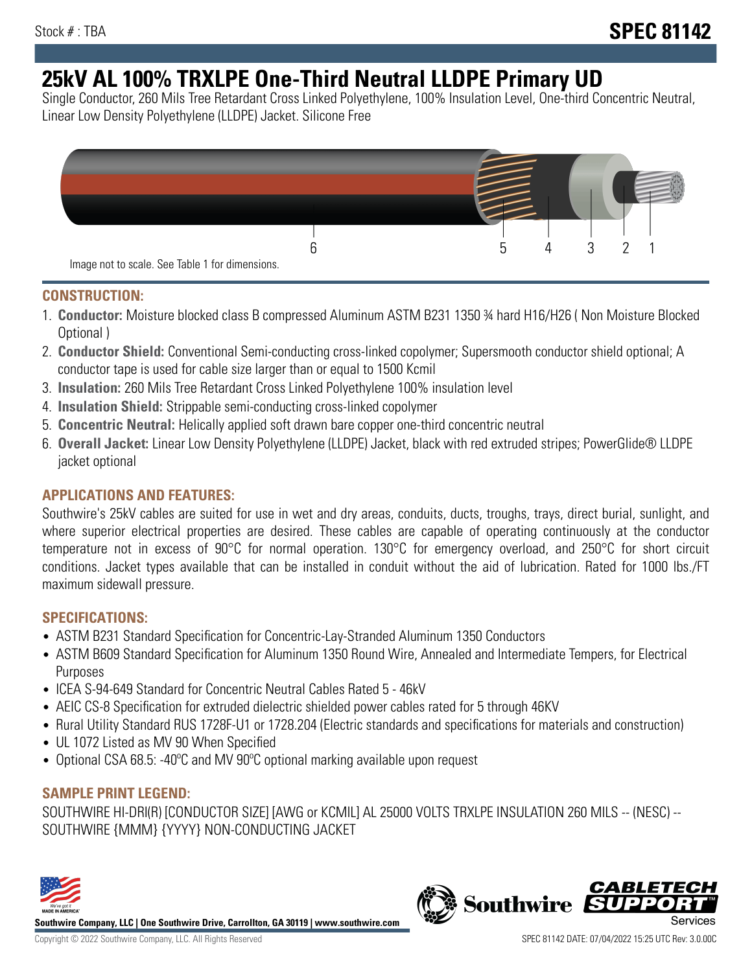# **25kV AL 100% TRXLPE One-Third Neutral LLDPE Primary UD**

Single Conductor, 260 Mils Tree Retardant Cross Linked Polyethylene, 100% Insulation Level, One-third Concentric Neutral, Linear Low Density Polyethylene (LLDPE) Jacket. Silicone Free



## **CONSTRUCTION:**

- 1. **Conductor:** Moisture blocked class B compressed Aluminum ASTM B231 1350 ¾ hard H16/H26 ( Non Moisture Blocked Optional )
- 2. **Conductor Shield:** Conventional Semi-conducting cross-linked copolymer; Supersmooth conductor shield optional; A conductor tape is used for cable size larger than or equal to 1500 Kcmil
- 3. **Insulation:** 260 Mils Tree Retardant Cross Linked Polyethylene 100% insulation level
- 4. **Insulation Shield:** Strippable semi-conducting cross-linked copolymer
- 5. **Concentric Neutral:** Helically applied soft drawn bare copper one-third concentric neutral
- 6. **Overall Jacket:** Linear Low Density Polyethylene (LLDPE) Jacket, black with red extruded stripes; PowerGlide® LLDPE jacket optional

# **APPLICATIONS AND FEATURES:**

Southwire's 25kV cables are suited for use in wet and dry areas, conduits, ducts, troughs, trays, direct burial, sunlight, and where superior electrical properties are desired. These cables are capable of operating continuously at the conductor temperature not in excess of 90°C for normal operation. 130°C for emergency overload, and 250°C for short circuit conditions. Jacket types available that can be installed in conduit without the aid of lubrication. Rated for 1000 lbs./FT maximum sidewall pressure.

### **SPECIFICATIONS:**

- ASTM B231 Standard Specification for Concentric-Lay-Stranded Aluminum 1350 Conductors
- ASTM B609 Standard Specification for Aluminum 1350 Round Wire, Annealed and Intermediate Tempers, for Electrical Purposes
- ICEA S-94-649 Standard for Concentric Neutral Cables Rated 5 46kV
- AEIC CS-8 Specification for extruded dielectric shielded power cables rated for 5 through 46KV
- Rural Utility Standard RUS 1728F-U1 or 1728.204 (Electric standards and specifications for materials and construction)
- UL 1072 Listed as MV 90 When Specified
- Optional CSA 68.5: -40ºC and MV 90ºC optional marking available upon request

### **SAMPLE PRINT LEGEND:**

SOUTHWIRE HI-DRI(R) [CONDUCTOR SIZE] [AWG or KCMIL] AL 25000 VOLTS TRXLPE INSULATION 260 MILS -- (NESC) -- SOUTHWIRE {MMM} {YYYY} NON-CONDUCTING JACKET



**Southwire Company, LLC | One Southwire Drive, Carrollton, GA 30119 | www.southwire.com**

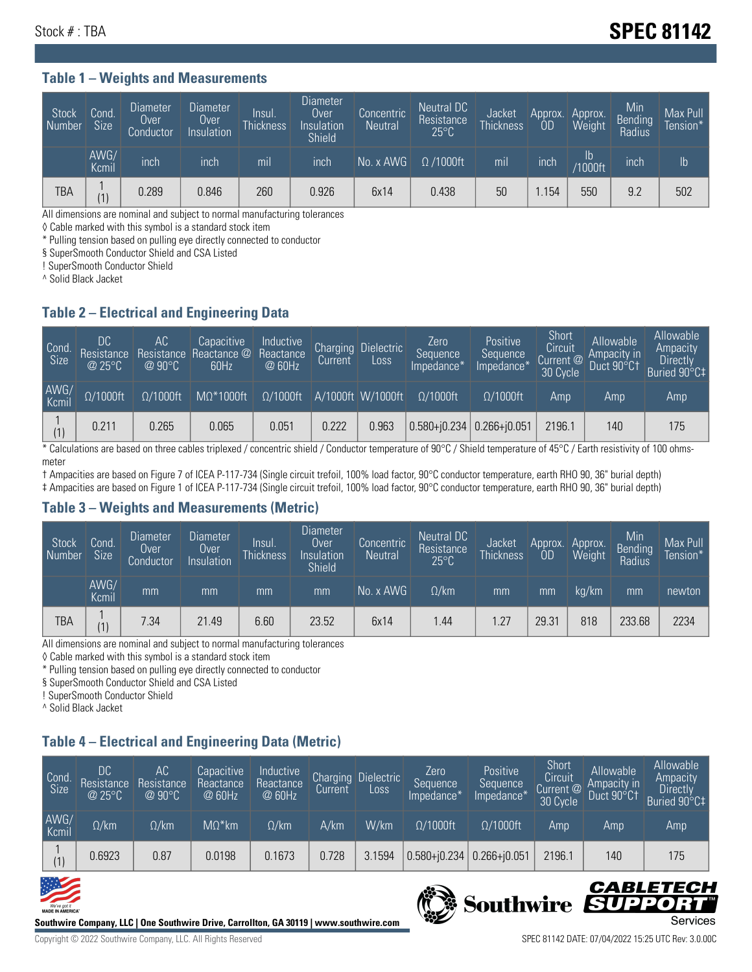#### **Table 1 – Weights and Measurements**

| <b>Stock</b><br>Number | Cond.<br><b>Size</b> | <b>Diameter</b><br>Over<br>Conductor | <b>Diameter</b><br>Over<br>Insulation | Insul.<br><b>Thickness</b> | <b>Diameter</b><br>Over.<br>Insulation<br><b>Shield</b> | Concentric<br><b>Neutral</b> | Neutral DC<br>Resistance<br>$25^{\circ}C$ | Jacket<br><b>Thickness</b> | Approx.<br>0D | Approx.<br>Weight    | Min<br><b>Bending</b><br>Radius | Max Pull<br>Tension* |
|------------------------|----------------------|--------------------------------------|---------------------------------------|----------------------------|---------------------------------------------------------|------------------------------|-------------------------------------------|----------------------------|---------------|----------------------|---------------------------------|----------------------|
|                        | AWG/<br>Kcmil        | inch                                 | inch                                  | mil                        | ınch                                                    | No. x AWG                    | $\Omega$ /1000ft                          | mil                        | inch          | Ib<br><b>Y1000ft</b> | inch                            | I <sub>b</sub>       |
| <b>TBA</b>             | (1)                  | 0.289                                | 0.846                                 | 260                        | 0.926                                                   | 6x14                         | 0.438                                     | 50                         | .154          | 550                  | 9.2                             | 502                  |

All dimensions are nominal and subject to normal manufacturing tolerances

◊ Cable marked with this symbol is a standard stock item

\* Pulling tension based on pulling eye directly connected to conductor

§ SuperSmooth Conductor Shield and CSA Listed

! SuperSmooth Conductor Shield

^ Solid Black Jacket

#### **Table 2 – Electrical and Engineering Data**

| Cond.<br>Size | 'DC.<br>Resistance<br>@25°C | AC<br>Resistance<br>$\oslash$ 90°C | Capacitive<br>Reactance @<br>60Hz | Inductive<br>Reactance<br>@ 60Hz | Charging<br>Current <sup>'</sup> | <b>Dielectric</b><br>LOSS. | Zero<br>Sequence<br>Impedance*    | Positive<br>Sequence<br>Impedance <sup>+</sup> | Short<br>Circuit<br>Current @<br>30 Cycle | Allowable<br>Ampacity in<br>Duct 90°C† | Allowable<br>Ampacity<br><b>Directly</b><br>Buried 90°C‡ |
|---------------|-----------------------------|------------------------------------|-----------------------------------|----------------------------------|----------------------------------|----------------------------|-----------------------------------|------------------------------------------------|-------------------------------------------|----------------------------------------|----------------------------------------------------------|
| AWG/<br>Kcmil | $\Omega/1000$ ft            | $\Omega/1000$ ft                   | $M\Omega^*1000$ ft                | $\Omega/1000$ ft                 |                                  | A/1000ft W/1000ft          | $\Omega/1000$ ft                  | $\Omega/1000$ ft                               | Amp                                       | Amp                                    | Amp                                                      |
|               | 0.211                       | 0.265                              | 0.065                             | 0.051                            | 0.222                            | 0.963                      | $ 0.580 + i0.234 0.266 + i0.051 $ |                                                | 2196.1                                    | 140                                    | 175                                                      |

\* Calculations are based on three cables triplexed / concentric shield / Conductor temperature of 90°C / Shield temperature of 45°C / Earth resistivity of 100 ohmsmeter

† Ampacities are based on Figure 7 of ICEA P-117-734 (Single circuit trefoil, 100% load factor, 90°C conductor temperature, earth RHO 90, 36" burial depth) ‡ Ampacities are based on Figure 1 of ICEA P-117-734 (Single circuit trefoil, 100% load factor, 90°C conductor temperature, earth RHO 90, 36" burial depth)

### **Table 3 – Weights and Measurements (Metric)**

| Stock<br>Number | Cond.<br><b>Size</b> | <b>Diameter</b><br><b>Over</b><br>Conductor | <b>Diameter</b><br>Over<br>Insulation | Insul.<br><b>Thickness</b> | <b>Diameter</b><br>Over<br>Insulation<br><b>Shield</b> | Concentric<br><b>Neutral</b> | Neutral DC<br>Resistance<br>$25^{\circ}$ C | <b>Jacket</b><br><b>Thickness</b> | Approx.<br>0D | Approx.<br>Weight | Min<br>Bending<br>Radius | Max Pull<br>Tension* |
|-----------------|----------------------|---------------------------------------------|---------------------------------------|----------------------------|--------------------------------------------------------|------------------------------|--------------------------------------------|-----------------------------------|---------------|-------------------|--------------------------|----------------------|
|                 | AWG/<br>Kcmil        | mm                                          | mm                                    | mm                         | mm                                                     | No. x AWG                    | $\Omega$ /km                               | mm                                | mm            | ka/km             | mm                       | newton               |
| <b>TBA</b>      | (1)                  | 7.34                                        | 21.49                                 | 6.60                       | 23.52                                                  | 6x14                         | l.44                                       | 1.27                              | 29.31         | 818               | 233.68                   | 2234                 |

All dimensions are nominal and subject to normal manufacturing tolerances

◊ Cable marked with this symbol is a standard stock item

\* Pulling tension based on pulling eye directly connected to conductor

§ SuperSmooth Conductor Shield and CSA Listed

! SuperSmooth Conductor Shield

^ Solid Black Jacket

# **Table 4 – Electrical and Engineering Data (Metric)**

| Cond.<br>Size | DC<br>Resistance<br>@25°C | AC<br>Resistance<br>$@90^{\circ}C$ | Capacitive<br>Reactance<br>@ 60Hz | Inductive<br>Reactance<br>@ 60Hz | Charging<br>Current | <b>Dielectric</b><br>Loss | Zero<br>Sequence<br>Impedance* | Positive<br>Sequence<br>Impedance* | Short<br>Circuit<br>Current @<br>30 Cycle | Allowable<br>Ampacity in<br>Duct 90°C1 | Allowable<br>Ampacity<br>Directly<br>Buried 90°C‡ |
|---------------|---------------------------|------------------------------------|-----------------------------------|----------------------------------|---------------------|---------------------------|--------------------------------|------------------------------------|-------------------------------------------|----------------------------------------|---------------------------------------------------|
| AWG/<br>Kcmil | $\Omega$ /km              | $\Omega$ /km                       | $M\Omega^*$ km                    | $\Omega$ /km                     | A/km                | W/km                      | $\Omega/1000$ ft               | $\Omega/1000$ ft                   | Amp                                       | Amp                                    | Amp                                               |
| (1)           | 0.6923                    | 0.87                               | 0.0198                            | 0.1673                           | 0.728               | 3.1594                    | $0.580 + j0.234$               | $0.266 + 0.051$                    | 2196.1                                    | 140                                    | 175                                               |





Copyright © 2022 Southwire Company, LLC. All Rights Reserved SPEC 81142 DATE: 07/04/2022 15:25 UTC Rev: 3.0.00C